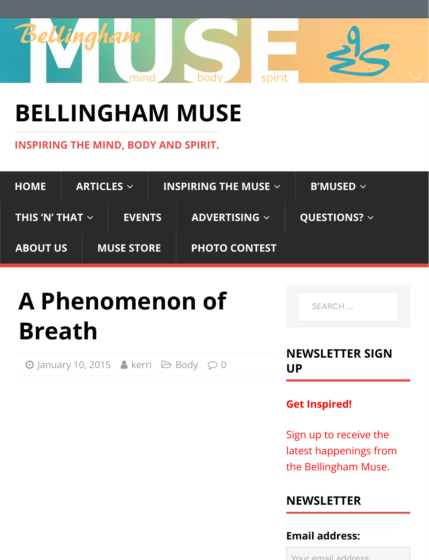

# **[BELLINGHAM MUSE](http://www.bellinghammuse.com/)**

**INSPIRING THE MIND, BODY AND SPIRIT.**

| <b>HOME</b>                                                       | ARTICLES $\vee$   |               |  | INSPIRING THE MUSE $\sim$ |                   | <b>B'MUSED</b> $\sim$ |
|-------------------------------------------------------------------|-------------------|---------------|--|---------------------------|-------------------|-----------------------|
| $\overline{\phantom{a}}$ THIS 'N' THAT $\overline{\phantom{a}}$ / |                   | <b>EVENTS</b> |  | ADVERTISING $\sim$        | QUESTIONS? $\sim$ |                       |
| <b>ABOUT US</b>                                                   | <b>MUSE STORE</b> |               |  | <b>PHOTO CONTEST</b>      |                   |                       |

# **A Phenomenon of B[reath](http://www.bellinghammuse.com/2015/01/)**

 $\Theta$  January 10, 2015 A kerri  $\Theta$  Body  $\Omega$  0

SEARCH …

**NEWSLETTER SIGN UP**

#### **Get Inspired!**

Sign up to receive the latest happenings from the Bellingham Muse.

# **NEWSLETTER**

#### **Email address:**

Your email address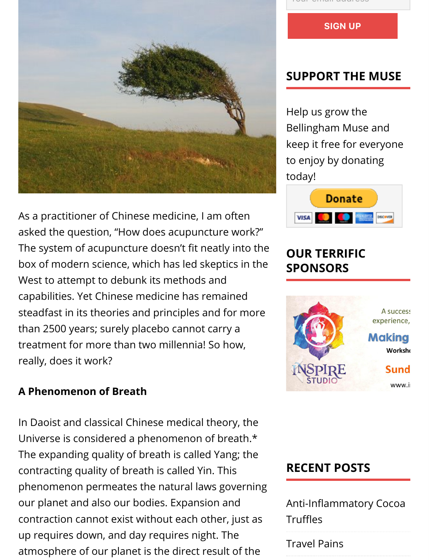

As a practitioner of Chinese medicine, I am often asked the question, "How does acupuncture work?" The system of acupuncture doesn't fit neatly into the box of modern science, which has led skeptics in the West to attempt to debunk its methods and capabilities. Yet Chinese medicine has remained steadfast in its theories and principles and for more than 2500 years; surely placebo cannot carry a treatment for more than two millennia! So how, really, does it work?

#### **A Phenomenon of Breath**

In Daoist and classical Chinese medical theory, the Universe is considered a phenomenon of breath.\* The expanding quality of breath is called Yang; the contracting quality of breath is called Yin. This phenomenon permeates the natural laws governing our planet and also our bodies. Expansion and contraction cannot exist without each other, just as up requires down, and day requires night. The atmosphere of our planet is the direct result of the

Your Giright address

**SIGN UP**

#### **SUPPORT THE MUSE**

Help us grow the Bellingham Muse and keep it free for everyone to enjoy by donating today!



# **OUR TERRIFIC SPONSORS**



# **RECENT POSTS**

Anti-Infl[ammatory Cocoa](http://www.bellinghammuse.com/anti-inflammatory-cocoa-truffles/) **[Tru](http://www.bellinghammuse.com/travel-pains/)ffles** 

Travel Pains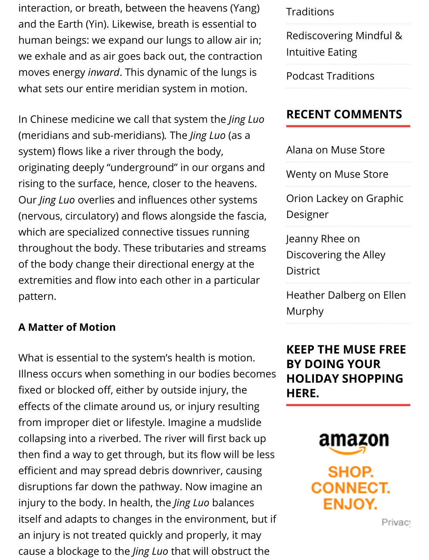interaction, or breath, between the heavens (Yang) and the Earth (Yin). Likewise, breath is essential to human beings: we expand our lungs to allow air in; we exhale and as air goes back out, the contraction moves energy *inward*. This dynamic of the lungs is what sets our entire meridian system in motion.

In Chinese medicine we call that system the *Jing Luo* (meridians and sub-meridians)*.* The *Jing Luo* (as a system) flows like a river through the body, originating deeply "underground" in our organs and rising to the surface, hence, closer to the heavens. Our *Jing Luo* overlies and influences other systems (nervous, circulatory) and flows alongside the fascia, which are specialized connective tissues running throughout the body. These tributaries and streams of the body change their directional energy at the extremities and flow into each other in a particular pattern.

#### **A Matter of Motion**

What is essential to the system's health is motion. Illness occurs when something in our bodies becomes fixed or blocked off, either by outside injury, the effects of the climate around us, or injury resulting from improper diet or lifestyle. Imagine a mudslide collapsing into a riverbed. The river will first back up then find a way to get through, but its flow will be less efficient and may spread debris downriver, causing disruptions far down the pathway. Now imagine an injury to the body. In health, the *Jing Luo* balances itself and adapts to changes in the environment, but if an injury is not treated quickly and properly, it may cause a blockage to the *Jing Luo* that will obstruct the

#### **Traditions**

[Rediscovering Mindful &](http://www.bellinghammuse.com/rediscovering-mindful-intuitive-eating/) [Intuitive Eating](http://www.bellinghammuse.com/podcast-traditions/)

Podcast Traditions

### **RECENT COMMENTS**

[Alana o](http://musestore/)n [Muse Store](http://www.bellinghammuse.com/home/muse-store/#comment-1219)

[Wenty on M](http://www.independent-learning.com/)[use Store](http://www.bellinghammuse.com/contact-us/graphic-designer/#comment-1214)

Orion Lackey on Graphic [Designer](http://seattleweekly/)

[Jeanny Rhee on](http://www.bellinghammuse.com/discovering-the-alley-district/#comment-1213) Discovering the Alley **[District](http://livingdocuments.wordpress.com/)** 

[Heather Dalberg on Ellen](http://www.bellinghammuse.com/ellen-murphy/#comment-1212) Murphy

**KEEP THE MUSE FREE BY DOING YOUR HOLIDAY SHOPPING HERE.**

> amazon SHOP. **CONNECT. ENJOY.**

> > Privac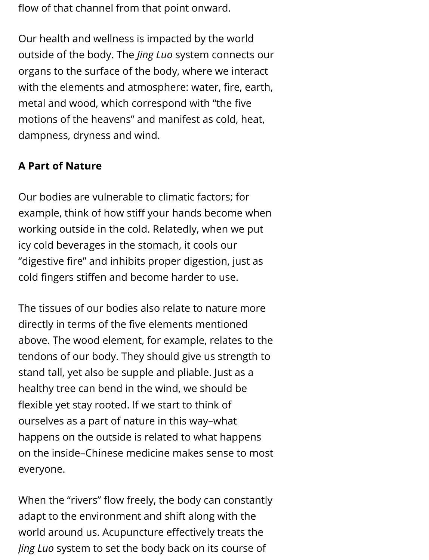flow of that channel from that point onward.

Our health and wellness is impacted by the world outside of the body. The *Jing Luo* system connects our organs to the surface of the body, where we interact with the elements and atmosphere: water, fire, earth, metal and wood, which correspond with "the five motions of the heavens" and manifest as cold, heat, dampness, dryness and wind.

### **A Part of Nature**

Our bodies are vulnerable to climatic factors; for example, think of how stiff your hands become when working outside in the cold. Relatedly, when we put icy cold beverages in the stomach, it cools our "digestive fire" and inhibits proper digestion, just as cold fingers stiffen and become harder to use.

The tissues of our bodies also relate to nature more directly in terms of the five elements mentioned above. The wood element, for example, relates to the tendons of our body. They should give us strength to stand tall, yet also be supple and pliable. Just as a healthy tree can bend in the wind, we should be flexible yet stay rooted. If we start to think of ourselves as a part of nature in this way–what happens on the outside is related to what happens on the inside–Chinese medicine makes sense to most everyone.

When the "rivers" flow freely, the body can constantly adapt to the environment and shift along with the world around us. Acupuncture effectively treats the *Jing Luo* system to set the body back on its course of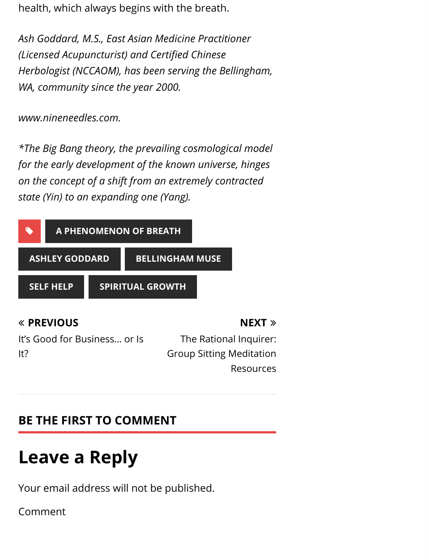health, which always begins with the breath.

*Ash Goddard, M.S., East Asian Medicine Practitioner (Licensed Acupuncturist) and Certified Chinese Herbologist (NCCAOM), has been serving the Bellingham, WA, community since the year 2000.*

*www.nineneedles.com.*

*\*The Big Bang theory, the prevailing cosmological model for the early development of the known universe, hinges on the concept of a shift from an extremely contracted state [\(Yin\) to an expanding one \(Yang\).](http://www.bellinghammuse.com/tag/a-phenomenon-of-breath/)*



### [The Rational Inquirer:](http://www.bellinghammuse.com/the-rational-inquirer-group-sitting-meditation-resources/) Group Sitting Meditation Resources

**NEXT** ∠

# **BE THE FIRST TO COMMENT**

# **Leave a Reply**

Your email address will not be published.

Comment

It?